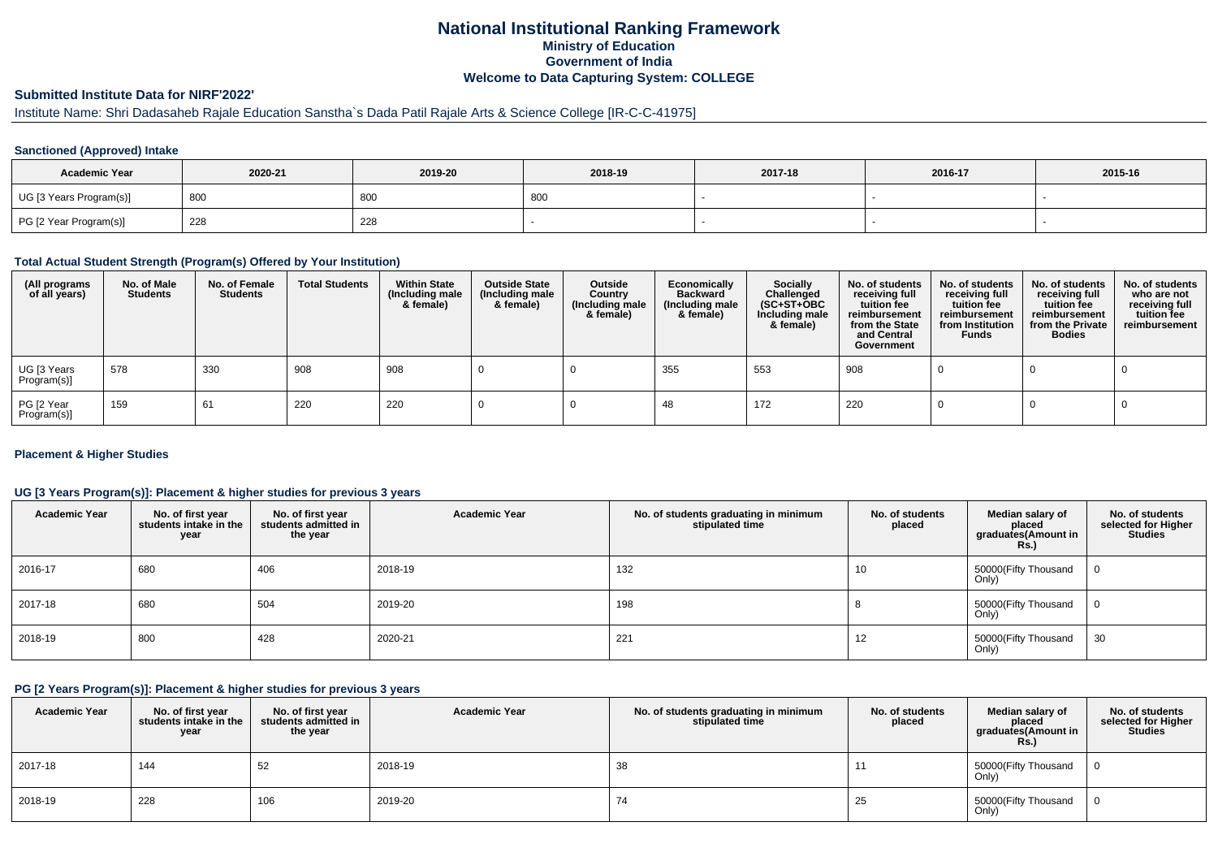## **National Institutional Ranking FrameworkMinistry of Education Government of IndiaWelcome to Data Capturing System: COLLEGE**

# **Submitted Institute Data for NIRF'2022'**

# Institute Name: Shri Dadasaheb Rajale Education Sanstha`s Dada Patil Rajale Arts & Science College [IR-C-C-41975]

### **Sanctioned (Approved) Intake**

| <b>Academic Year</b>    | 2020-21 | 2019-20 | 2018-19 | 2017-18 | 2016-17 | 2015-16 |
|-------------------------|---------|---------|---------|---------|---------|---------|
| UG [3 Years Program(s)] | 800     | 80C     | -800    |         |         |         |
| PG [2 Year Program(s)]  | 228     | 228     |         |         |         |         |

#### **Total Actual Student Strength (Program(s) Offered by Your Institution)**

| (All programs<br>of all years) | No. of Male<br><b>Students</b> | No. of Female<br>Students | <b>Total Students</b> | <b>Within State</b><br>(Including male<br>& female) | <b>Outside State</b><br>(Including male<br>& female) | Outside<br>Country<br>(Including male<br>& female) | Economically<br><b>Backward</b><br>(Including male<br>& female) | <b>Socially</b><br>Challenged<br>$(SC+ST+OBC)$<br>Including male<br>& female) | No. of students<br>receiving full<br>tuition fee<br>reimbursement<br>from the State<br>and Central<br>Government | No. of students<br>receiving full<br>tuition fee<br>reimbursement<br>from Institution<br><b>Funds</b> | No. of students<br>receiving full<br>tuition fee<br>reimbursement<br>from the Private<br><b>Bodies</b> | No. of students<br>who are not<br>receiving full<br>tuition fee<br>reimbursement |
|--------------------------------|--------------------------------|---------------------------|-----------------------|-----------------------------------------------------|------------------------------------------------------|----------------------------------------------------|-----------------------------------------------------------------|-------------------------------------------------------------------------------|------------------------------------------------------------------------------------------------------------------|-------------------------------------------------------------------------------------------------------|--------------------------------------------------------------------------------------------------------|----------------------------------------------------------------------------------|
| UG [3 Years<br>Program(s)]     | 578                            | 330                       | 908                   | 908                                                 |                                                      |                                                    | 355                                                             | 553                                                                           | 908                                                                                                              |                                                                                                       |                                                                                                        |                                                                                  |
| PG [2 Year<br>Program(s)]      | 159                            | 61                        | 220                   | 220                                                 |                                                      |                                                    | 48                                                              | 172                                                                           | 220                                                                                                              |                                                                                                       |                                                                                                        |                                                                                  |

### **Placement & Higher Studies**

### **UG [3 Years Program(s)]: Placement & higher studies for previous 3 years**

| <b>Academic Year</b> | No. of first year<br>students intake in the<br>year | No. of first year<br>students admitted in<br>the year | <b>Academic Year</b> | No. of students graduating in minimum<br>stipulated time | No. of students<br>placed | Median salary of<br>placed<br>graduates(Amount in<br><b>Rs.</b> ) | No. of students<br>selected for Higher<br>Studies |
|----------------------|-----------------------------------------------------|-------------------------------------------------------|----------------------|----------------------------------------------------------|---------------------------|-------------------------------------------------------------------|---------------------------------------------------|
| 2016-17              | 680                                                 | 406                                                   | 2018-19              | 132                                                      | 10                        | 50000(Fifty Thousand<br>Only)                                     |                                                   |
| 2017-18              | 680                                                 | 504                                                   | 2019-20              | 198                                                      |                           | 50000(Fifty Thousand<br>Only)                                     |                                                   |
| 2018-19              | 800                                                 | 428                                                   | 2020-21              | 221                                                      | 12                        | 50000(Fifty Thousand<br>Only)                                     | 30                                                |

#### **PG [2 Years Program(s)]: Placement & higher studies for previous 3 years**

| <b>Academic Year</b> | No. of first year<br>students intake in the<br>year | No. of first year<br>students admitted in<br>the year | <b>Academic Year</b> | No. of students graduating in minimum<br>stipulated time | No. of students<br>placed | Median salary of<br>placed<br>graduates (Amount in<br>Rs.) | No. of students<br>selected for Higher<br><b>Studies</b> |
|----------------------|-----------------------------------------------------|-------------------------------------------------------|----------------------|----------------------------------------------------------|---------------------------|------------------------------------------------------------|----------------------------------------------------------|
| 2017-18              | 144                                                 | 52                                                    | 2018-19              | 38                                                       |                           | 50000(Fifty Thousand<br>Only)                              |                                                          |
| 2018-19              | 228                                                 | 106                                                   | 2019-20              | 74                                                       | 25                        | 50000(Fifty Thousand<br>Only)                              |                                                          |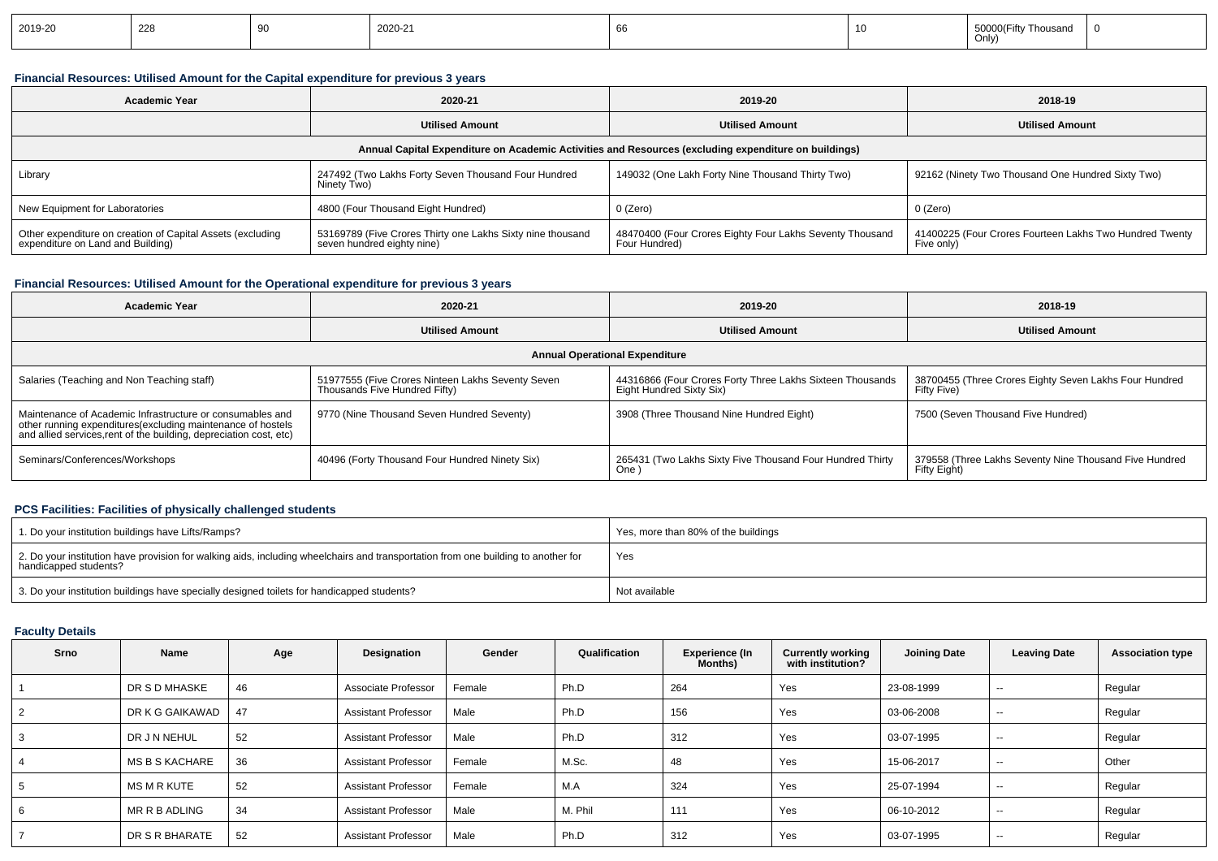| 2019-20 | 228 | 2020-21 |  | $\overline{1}$ 50000/Fifty T'<br>Thousand<br><b>JUUU</b><br>Only) |  |
|---------|-----|---------|--|-------------------------------------------------------------------|--|
|         |     |         |  |                                                                   |  |

## **Financial Resources: Utilised Amount for the Capital expenditure for previous 3 years**

| <b>Academic Year</b>                                                                                 | 2020-21                                                                                  | 2019-20                                                                   | 2018-19                                                               |  |  |  |  |  |  |  |
|------------------------------------------------------------------------------------------------------|------------------------------------------------------------------------------------------|---------------------------------------------------------------------------|-----------------------------------------------------------------------|--|--|--|--|--|--|--|
|                                                                                                      | <b>Utilised Amount</b>                                                                   | <b>Utilised Amount</b>                                                    | <b>Utilised Amount</b>                                                |  |  |  |  |  |  |  |
| Annual Capital Expenditure on Academic Activities and Resources (excluding expenditure on buildings) |                                                                                          |                                                                           |                                                                       |  |  |  |  |  |  |  |
| Library                                                                                              | 247492 (Two Lakhs Forty Seven Thousand Four Hundred<br>Ninety Two)                       | 149032 (One Lakh Forty Nine Thousand Thirty Two)                          | 92162 (Ninety Two Thousand One Hundred Sixty Two)                     |  |  |  |  |  |  |  |
| New Equipment for Laboratories                                                                       | 4800 (Four Thousand Eight Hundred)                                                       | 0 (Zero)                                                                  | 0 (Zero)                                                              |  |  |  |  |  |  |  |
| Other expenditure on creation of Capital Assets (excluding<br>expenditure on Land and Building)      | 53169789 (Five Crores Thirty one Lakhs Sixty nine thousand<br>seven hundred eighty nine) | 48470400 (Four Crores Eighty Four Lakhs Seventy Thousand<br>Four Hundred) | 41400225 (Four Crores Fourteen Lakhs Two Hundred Twenty<br>Five only) |  |  |  |  |  |  |  |

## **Financial Resources: Utilised Amount for the Operational expenditure for previous 3 years**

| <b>Academic Year</b>                                                                                                                                                                            | 2020-21                                                                            | 2019-20                                                                               | 2018-19                                                                |  |
|-------------------------------------------------------------------------------------------------------------------------------------------------------------------------------------------------|------------------------------------------------------------------------------------|---------------------------------------------------------------------------------------|------------------------------------------------------------------------|--|
|                                                                                                                                                                                                 | <b>Utilised Amount</b>                                                             | <b>Utilised Amount</b>                                                                | <b>Utilised Amount</b>                                                 |  |
|                                                                                                                                                                                                 |                                                                                    | <b>Annual Operational Expenditure</b>                                                 |                                                                        |  |
| Salaries (Teaching and Non Teaching staff)                                                                                                                                                      | 51977555 (Five Crores Ninteen Lakhs Seventy Seven<br>Thousands Five Hundred Fifty) | 44316866 (Four Crores Forty Three Lakhs Sixteen Thousands<br>Eight Hundred Sixty Six) | 38700455 (Three Crores Eighty Seven Lakhs Four Hundred<br>Fifty Five)  |  |
| Maintenance of Academic Infrastructure or consumables and<br>other running expenditures (excluding maintenance of hostels<br>and allied services, rent of the building, depreciation cost, etc) | 9770 (Nine Thousand Seven Hundred Seventy)                                         | 3908 (Three Thousand Nine Hundred Eight)                                              | 7500 (Seven Thousand Five Hundred)                                     |  |
| Seminars/Conferences/Workshops                                                                                                                                                                  | 40496 (Forty Thousand Four Hundred Ninety Six)                                     | 265431 (Two Lakhs Sixty Five Thousand Four Hundred Thirty<br>One                      | 379558 (Three Lakhs Seventy Nine Thousand Five Hundred<br>Fifty Eight) |  |

# **PCS Facilities: Facilities of physically challenged students**

| 1. Do your institution buildings have Lifts/Ramps?                                                                                                         | Yes, more than 80% of the buildings |
|------------------------------------------------------------------------------------------------------------------------------------------------------------|-------------------------------------|
| 2. Do your institution have provision for walking aids, including wheelchairs and transportation from one building to another for<br>handicapped students? | Yes                                 |
| 3. Do your institution buildings have specially designed toilets for handicapped students?                                                                 | Not available                       |

## **Faculty Details**

| Srno           | Name                  | Age | Designation                | Gender | Qualification | Experience (In<br><b>Months)</b> | <b>Currently working</b><br>with institution? | <b>Joining Date</b> | <b>Leaving Date</b>      | <b>Association type</b> |
|----------------|-----------------------|-----|----------------------------|--------|---------------|----------------------------------|-----------------------------------------------|---------------------|--------------------------|-------------------------|
|                | DR S D MHASKE         | 46  | Associate Professor        | Female | Ph.D          | 264                              | Yes                                           | 23-08-1999          | $\overline{\phantom{a}}$ | Regular                 |
| $\overline{2}$ | DR K G GAIKAWAD       | 47  | <b>Assistant Professor</b> | Male   | Ph.D          | 156                              | Yes                                           | 03-06-2008          | $ -$                     | Regular                 |
| 3              | DR J N NEHUL          | 52  | <b>Assistant Professor</b> | Male   | Ph.D          | 312                              | Yes                                           | 03-07-1995          | --                       | Regular                 |
|                | <b>MS B S KACHARE</b> | 36  | <b>Assistant Professor</b> | Female | M.Sc.         | 48                               | Yes                                           | 15-06-2017          | $\overline{\phantom{a}}$ | Other                   |
| 5              | MS M R KUTE           | 52  | <b>Assistant Professor</b> | Female | M.A           | 324                              | Yes                                           | 25-07-1994          | $ \sim$                  | Regular                 |
| 6              | MR R B ADLING         | 34  | <b>Assistant Professor</b> | Male   | M. Phil       | 111                              | Yes                                           | 06-10-2012          | $ \sim$                  | Regular                 |
|                | DR S R BHARATE        | 52  | <b>Assistant Professor</b> | Male   | Ph.D          | 312                              | Yes                                           | 03-07-1995          | $\overline{\phantom{a}}$ | Regular                 |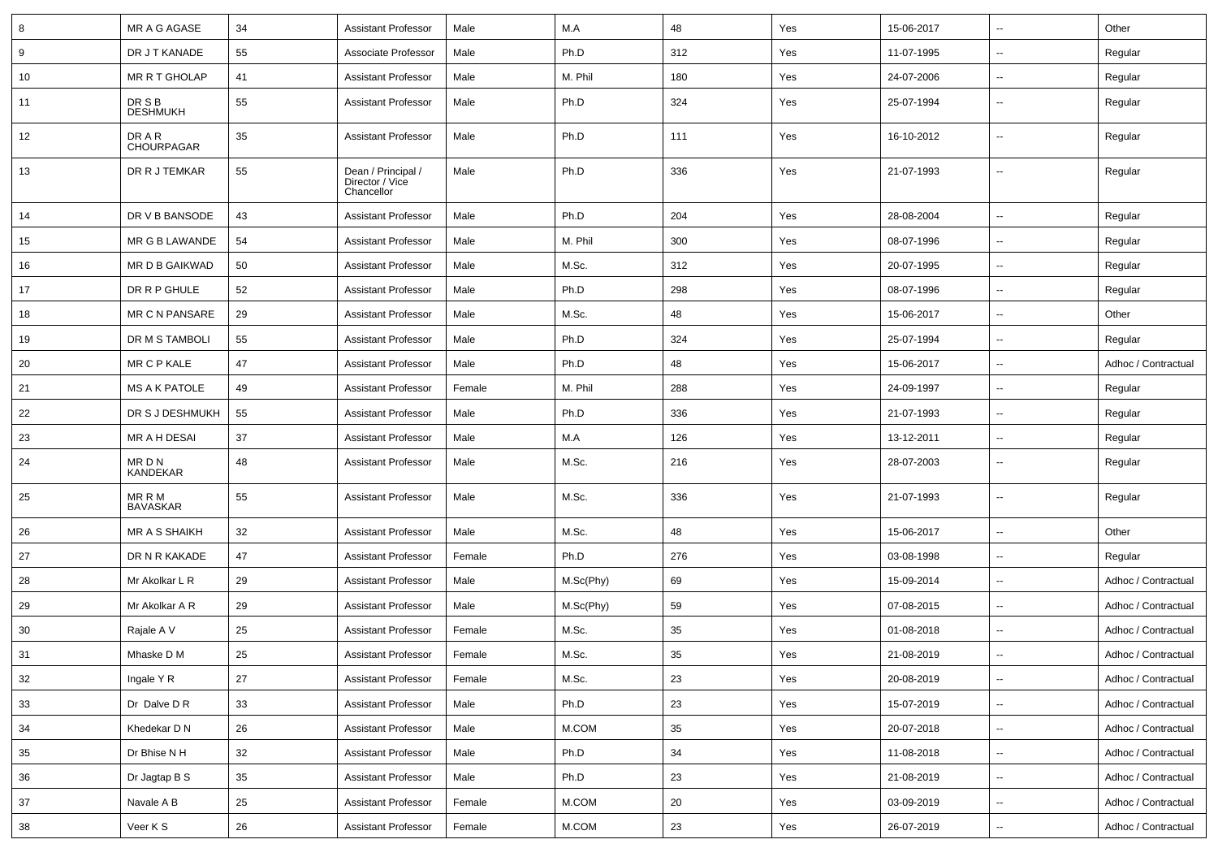| 8      | MR A G AGASE                | 34 | <b>Assistant Professor</b>                          | Male   | M.A       | 48  | Yes | 15-06-2017 | $\overline{\phantom{a}}$ | Other               |
|--------|-----------------------------|----|-----------------------------------------------------|--------|-----------|-----|-----|------------|--------------------------|---------------------|
| 9      | DR J T KANADE               | 55 | Associate Professor                                 | Male   | Ph.D      | 312 | Yes | 11-07-1995 | н.                       | Regular             |
| 10     | MR R T GHOLAP               | 41 | <b>Assistant Professor</b>                          | Male   | M. Phil   | 180 | Yes | 24-07-2006 | $\overline{\phantom{a}}$ | Regular             |
| 11     | DR S B<br><b>DESHMUKH</b>   | 55 | <b>Assistant Professor</b>                          | Male   | Ph.D      | 324 | Yes | 25-07-1994 | --                       | Regular             |
| 12     | DR A R<br><b>CHOURPAGAR</b> | 35 | <b>Assistant Professor</b>                          | Male   | Ph.D      | 111 | Yes | 16-10-2012 | --                       | Regular             |
| 13     | DR R J TEMKAR               | 55 | Dean / Principal /<br>Director / Vice<br>Chancellor | Male   | Ph.D      | 336 | Yes | 21-07-1993 | --                       | Regular             |
| 14     | DR V B BANSODE              | 43 | <b>Assistant Professor</b>                          | Male   | Ph.D      | 204 | Yes | 28-08-2004 | $\overline{a}$           | Regular             |
| 15     | MR G B LAWANDE              | 54 | <b>Assistant Professor</b>                          | Male   | M. Phil   | 300 | Yes | 08-07-1996 | --                       | Regular             |
| 16     | MR D B GAIKWAD              | 50 | <b>Assistant Professor</b>                          | Male   | M.Sc.     | 312 | Yes | 20-07-1995 | --                       | Regular             |
| 17     | DR R P GHULE                | 52 | <b>Assistant Professor</b>                          | Male   | Ph.D      | 298 | Yes | 08-07-1996 | $\overline{\phantom{a}}$ | Regular             |
| 18     | <b>MR C N PANSARE</b>       | 29 | <b>Assistant Professor</b>                          | Male   | M.Sc.     | 48  | Yes | 15-06-2017 | $\overline{\phantom{a}}$ | Other               |
| 19     | DR M S TAMBOLI              | 55 | <b>Assistant Professor</b>                          | Male   | Ph.D      | 324 | Yes | 25-07-1994 | ⊷.                       | Regular             |
| 20     | MR C P KALE                 | 47 | <b>Assistant Professor</b>                          | Male   | Ph.D      | 48  | Yes | 15-06-2017 | $\overline{\phantom{a}}$ | Adhoc / Contractual |
| 21     | <b>MS A K PATOLE</b>        | 49 | <b>Assistant Professor</b>                          | Female | M. Phil   | 288 | Yes | 24-09-1997 | --                       | Regular             |
| 22     | DR S J DESHMUKH             | 55 | <b>Assistant Professor</b>                          | Male   | Ph.D      | 336 | Yes | 21-07-1993 | --                       | Regular             |
| 23     | MR A H DESAI                | 37 | <b>Assistant Professor</b>                          | Male   | M.A       | 126 | Yes | 13-12-2011 | --                       | Regular             |
| 24     | MR D N<br>KANDEKAR          | 48 | <b>Assistant Professor</b>                          | Male   | M.Sc.     | 216 | Yes | 28-07-2003 | $\overline{\phantom{a}}$ | Regular             |
| 25     | MR R M<br><b>BAVASKAR</b>   | 55 | <b>Assistant Professor</b>                          | Male   | M.Sc.     | 336 | Yes | 21-07-1993 | $\overline{\phantom{a}}$ | Regular             |
| 26     | <b>MR A S SHAIKH</b>        | 32 | <b>Assistant Professor</b>                          | Male   | M.Sc.     | 48  | Yes | 15-06-2017 | $\overline{\phantom{a}}$ | Other               |
| 27     | DR N R KAKADE               | 47 | <b>Assistant Professor</b>                          | Female | Ph.D      | 276 | Yes | 03-08-1998 | $\overline{\phantom{a}}$ | Regular             |
| 28     | Mr Akolkar L R              | 29 | <b>Assistant Professor</b>                          | Male   | M.Sc(Phy) | 69  | Yes | 15-09-2014 | --                       | Adhoc / Contractual |
| 29     | Mr Akolkar A R              | 29 | <b>Assistant Professor</b>                          | Male   | M.Sc(Phy) | 59  | Yes | 07-08-2015 | --                       | Adhoc / Contractual |
| 30     | Rajale A V                  | 25 | <b>Assistant Professor</b>                          | Female | M.Sc.     | 35  | Yes | 01-08-2018 | --                       | Adhoc / Contractual |
| 31     | Mhaske D M                  | 25 | <b>Assistant Professor</b>                          | Female | M.Sc.     | 35  | Yes | 21-08-2019 | --                       | Adhoc / Contractual |
| 32     | Ingale Y R                  | 27 | Assistant Professor                                 | Female | M.Sc.     | 23  | Yes | 20-08-2019 | Щ,                       | Adhoc / Contractual |
| $33\,$ | Dr Dalve D R                | 33 | <b>Assistant Professor</b>                          | Male   | Ph.D      | 23  | Yes | 15-07-2019 | ⊶.                       | Adhoc / Contractual |
| 34     | Khedekar D N                | 26 | <b>Assistant Professor</b>                          | Male   | M.COM     | 35  | Yes | 20-07-2018 | $\overline{\phantom{a}}$ | Adhoc / Contractual |
| 35     | Dr Bhise N H                | 32 | <b>Assistant Professor</b>                          | Male   | Ph.D      | 34  | Yes | 11-08-2018 | $\overline{\phantom{a}}$ | Adhoc / Contractual |
| 36     | Dr Jagtap B S               | 35 | <b>Assistant Professor</b>                          | Male   | Ph.D      | 23  | Yes | 21-08-2019 | ⊷.                       | Adhoc / Contractual |
| 37     | Navale A B                  | 25 | <b>Assistant Professor</b>                          | Female | M.COM     | 20  | Yes | 03-09-2019 | Щ,                       | Adhoc / Contractual |
| 38     | Veer K S                    | 26 | <b>Assistant Professor</b>                          | Female | M.COM     | 23  | Yes | 26-07-2019 | Щ,                       | Adhoc / Contractual |